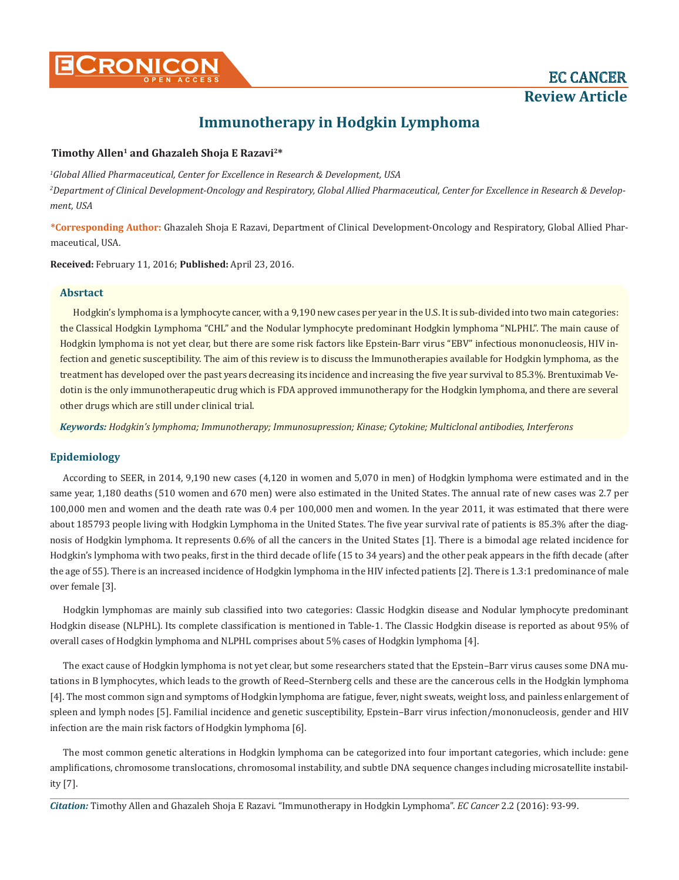# **Immunotherapy in Hodgkin Lymphoma**

# **Timothy Allen1 and Ghazaleh Shoja E Razavi2\***

*1 Global Allied Pharmaceutical, Center for Excellence in Research & Development, USA 2 Department of Clinical Development-Oncology and Respiratory, Global Allied Pharmaceutical, Center for Excellence in Research & Development, USA*

**\*Corresponding Author:** Ghazaleh Shoja E Razavi, Department of Clinical Development-Oncology and Respiratory, Global Allied Pharmaceutical, USA.

**Received:** February 11, 2016; **Published:** April 23, 2016.

# **Absrtact**

Hodgkin's lymphoma is a lymphocyte cancer, with a 9,190 new cases per year in the U.S. It is sub-divided into two main categories: the Classical Hodgkin Lymphoma "CHL" and the Nodular lymphocyte predominant Hodgkin lymphoma "NLPHL". The main cause of Hodgkin lymphoma is not yet clear, but there are some risk factors like Epstein-Barr virus "EBV" infectious mononucleosis, HIV infection and genetic susceptibility. The aim of this review is to discuss the Immunotherapies available for Hodgkin lymphoma, as the treatment has developed over the past years decreasing its incidence and increasing the five year survival to 85.3%. Brentuximab Vedotin is the only immunotherapeutic drug which is FDA approved immunotherapy for the Hodgkin lymphoma, and there are several other drugs which are still under clinical trial.

*Keywords: Hodgkin's lymphoma; Immunotherapy; Immunosupression; Kinase; Cytokine; Multiclonal antibodies, Interferons*

# **Epidemiology**

According to SEER, in 2014, 9,190 new cases (4,120 in women and 5,070 in men) of Hodgkin lymphoma were estimated and in the same year, 1,180 deaths (510 women and 670 men) were also estimated in the United States. The annual rate of new cases was 2.7 per 100,000 men and women and the death rate was 0.4 per 100,000 men and women. In the year 2011, it was estimated that there were about 185793 people living with Hodgkin Lymphoma in the United States. The five year survival rate of patients is 85.3% after the diagnosis of Hodgkin lymphoma. It represents 0.6% of all the cancers in the United States [1]. There is a bimodal age related incidence for Hodgkin's lymphoma with two peaks, first in the third decade of life (15 to 34 years) and the other peak appears in the fifth decade (after the age of 55). There is an increased incidence of Hodgkin lymphoma in the HIV infected patients [2]. There is 1.3:1 predominance of male over female [3].

Hodgkin lymphomas are mainly sub classified into two categories: Classic Hodgkin disease and Nodular lymphocyte predominant Hodgkin disease (NLPHL). Its complete classification is mentioned in Table-1. The Classic Hodgkin disease is reported as about 95% of overall cases of Hodgkin lymphoma and NLPHL comprises about 5% cases of Hodgkin lymphoma [4].

The exact cause of Hodgkin lymphoma is not yet clear, but some researchers stated that the Epstein–Barr virus causes some DNA mutations in B lymphocytes, which leads to the growth of Reed–Sternberg cells and these are the cancerous cells in the Hodgkin lymphoma [4]. The most common sign and symptoms of Hodgkin lymphoma are fatigue, fever, night sweats, weight loss, and painless enlargement of spleen and lymph nodes [5]. Familial incidence and genetic susceptibility, Epstein–Barr virus infection/mononucleosis, gender and HIV infection are the main risk factors of Hodgkin lymphoma [6].

The most common genetic alterations in Hodgkin lymphoma can be categorized into four important categories, which include: gene amplifications, chromosome translocations, chromosomal instability, and subtle DNA sequence changes including microsatellite instability [7].

*Citation:* Timothy Allen and Ghazaleh Shoja E Razavi. "Immunotherapy in Hodgkin Lymphoma". *EC Cancer* 2.2 (2016): 93-99.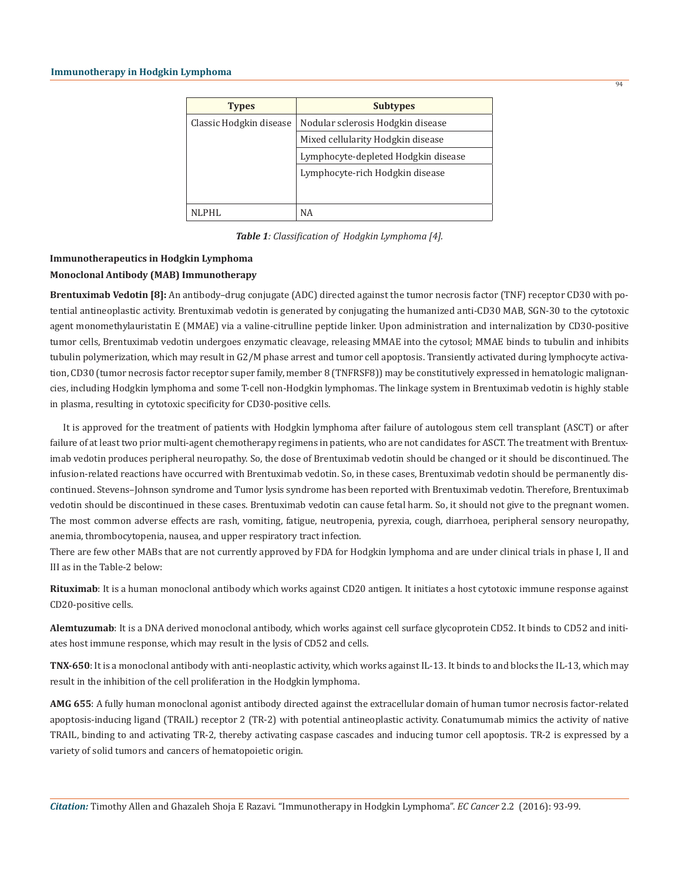| <b>Types</b>            | <b>Subtypes</b>                     |
|-------------------------|-------------------------------------|
| Classic Hodgkin disease | Nodular sclerosis Hodgkin disease   |
|                         | Mixed cellularity Hodgkin disease   |
|                         | Lymphocyte-depleted Hodgkin disease |
|                         | Lymphocyte-rich Hodgkin disease     |
|                         |                                     |
| NLPHL                   | <b>NA</b>                           |

*Table 1: Classification of Hodgkin Lymphoma [4].*

# **Immunotherapeutics in Hodgkin Lymphoma Monoclonal Antibody (MAB) Immunotherapy**

**Brentuximab Vedotin [8]:** An antibody–drug conjugate (ADC) directed against the tumor necrosis factor (TNF) receptor CD30 with potential antineoplastic activity. Brentuximab vedotin is generated by conjugating the humanized anti-CD30 MAB, SGN-30 to the cytotoxic agent monomethylauristatin E (MMAE) via a valine-citrulline peptide linker. Upon administration and internalization by CD30-positive tumor cells, Brentuximab vedotin undergoes enzymatic cleavage, releasing MMAE into the cytosol; MMAE binds to tubulin and inhibits tubulin polymerization, which may result in G2/M phase arrest and tumor cell apoptosis. Transiently activated during lymphocyte activation, CD30 (tumor necrosis factor receptor super family, member 8 (TNFRSF8)) may be constitutively expressed in hematologic malignancies, including Hodgkin lymphoma and some T-cell non-Hodgkin lymphomas. The linkage system in Brentuximab vedotin is highly stable in plasma, resulting in cytotoxic specificity for CD30-positive cells.

It is approved for the treatment of patients with Hodgkin lymphoma after failure of autologous stem cell transplant (ASCT) or after failure of at least two prior multi-agent chemotherapy regimens in patients, who are not candidates for ASCT. The treatment with Brentuximab vedotin produces peripheral neuropathy. So, the dose of Brentuximab vedotin should be changed or it should be discontinued. The infusion-related reactions have occurred with Brentuximab vedotin. So, in these cases, Brentuximab vedotin should be permanently discontinued. Stevens–Johnson syndrome and Tumor lysis syndrome has been reported with Brentuximab vedotin. Therefore, Brentuximab vedotin should be discontinued in these cases. Brentuximab vedotin can cause fetal harm. So, it should not give to the pregnant women. The most common adverse effects are rash, vomiting, fatigue, neutropenia, pyrexia, cough, diarrhoea, peripheral sensory neuropathy, anemia, thrombocytopenia, nausea, and upper respiratory tract infection.

There are few other MABs that are not currently approved by FDA for Hodgkin lymphoma and are under clinical trials in phase I, II and III as in the Table-2 below:

**Rituximab**: It is a human monoclonal antibody which works against CD20 antigen. It initiates a host cytotoxic immune response against CD20-positive cells.

**Alemtuzumab**: It is a DNA derived monoclonal antibody, which works against cell surface glycoprotein CD52. It binds to CD52 and initiates host immune response, which may result in the lysis of CD52 and cells.

**TNX-650**: It is a monoclonal antibody with anti-neoplastic activity, which works against IL-13. It binds to and blocks the IL-13, which may result in the inhibition of the cell proliferation in the Hodgkin lymphoma.

**AMG 655**: A fully human monoclonal agonist antibody directed against the extracellular domain of human tumor necrosis factor-related apoptosis-inducing ligand (TRAIL) receptor 2 (TR-2) with potential antineoplastic activity. Conatumumab mimics the activity of native TRAIL, binding to and activating TR-2, thereby activating caspase cascades and inducing tumor cell apoptosis. TR-2 is expressed by a variety of solid tumors and cancers of hematopoietic origin.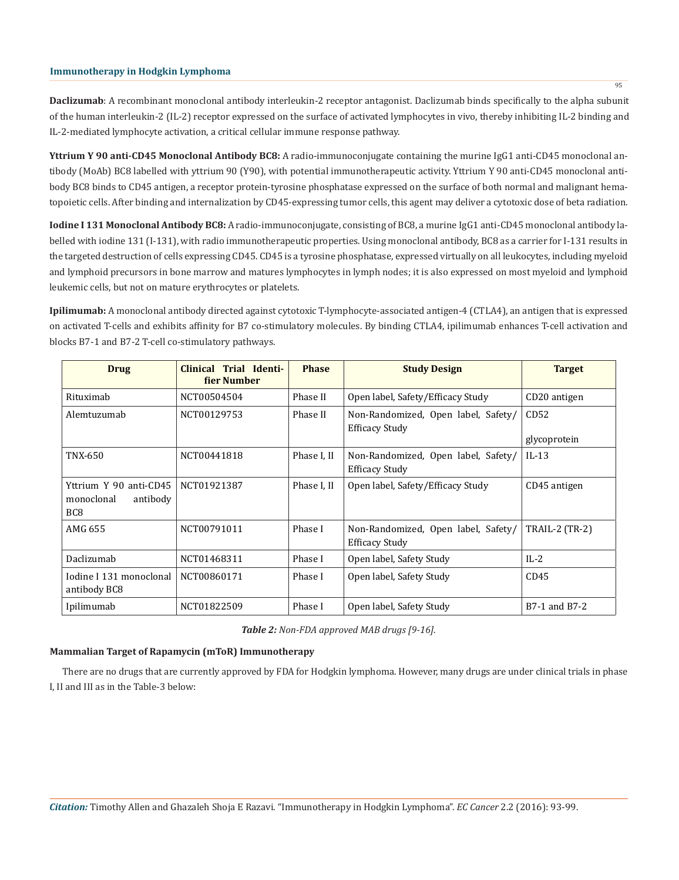**Daclizumab**: A recombinant monoclonal antibody interleukin-2 receptor antagonist. Daclizumab binds specifically to the alpha subunit of the human interleukin-2 (IL-2) receptor expressed on the surface of activated lymphocytes in vivo, thereby inhibiting IL-2 binding and IL-2-mediated lymphocyte activation, a critical cellular immune response pathway.

**Yttrium Y 90 anti-CD45 Monoclonal Antibody BC8:** A radio-immunoconjugate containing the murine IgG1 anti-CD45 monoclonal antibody (MoAb) BC8 labelled with yttrium 90 (Y90), with potential immunotherapeutic activity. Yttrium Y 90 anti-CD45 monoclonal antibody BC8 binds to CD45 antigen, a receptor protein-tyrosine phosphatase expressed on the surface of both normal and malignant hematopoietic cells. After binding and internalization by CD45-expressing tumor cells, this agent may deliver a cytotoxic dose of beta radiation.

**Iodine I 131 Monoclonal Antibody BC8:** A radio-immunoconjugate, consisting of BC8, a murine IgG1 anti-CD45 monoclonal antibody labelled with iodine 131 (I-131), with radio immunotherapeutic properties. Using monoclonal antibody, BC8 as a carrier for I-131 results in the targeted destruction of cells expressing CD45. CD45 is a tyrosine phosphatase, expressed virtually on all leukocytes, including myeloid and lymphoid precursors in bone marrow and matures lymphocytes in lymph nodes; it is also expressed on most myeloid and lymphoid leukemic cells, but not on mature erythrocytes or platelets.

**Ipilimumab:** A monoclonal antibody directed against cytotoxic T-lymphocyte-associated antigen-4 (CTLA4), an antigen that is expressed on activated T-cells and exhibits affinity for B7 co-stimulatory molecules. By binding CTLA4, ipilimumab enhances T-cell activation and blocks B7-1 and B7-2 T-cell co-stimulatory pathways.

| Drug                                                                | Clinical Trial Identi-<br>fier Number | <b>Phase</b> | <b>Study Design</b>                                          | <b>Target</b>                           |
|---------------------------------------------------------------------|---------------------------------------|--------------|--------------------------------------------------------------|-----------------------------------------|
| Rituximab                                                           | NCT00504504                           | Phase II     | Open label, Safety/Efficacy Study                            | CD20 antigen                            |
| Alemtuzumab                                                         | NCT00129753                           | Phase II     | Non-Randomized, Open label, Safety/<br><b>Efficacy Study</b> | CD52<br>glycoprotein                    |
| TNX-650                                                             | NCT00441818                           | Phase I, II  | Non-Randomized, Open label, Safety/<br><b>Efficacy Study</b> | $IL-13$                                 |
| Yttrium Y 90 anti-CD45<br>monoclonal<br>antibody<br>BC <sub>8</sub> | NCT01921387                           | Phase I, II  | Open label, Safety/Efficacy Study                            | CD45 antigen                            |
| AMG 655                                                             | NCT00791011                           | Phase I      | Non-Randomized, Open label, Safety/<br><b>Efficacy Study</b> | <b>TRAIL-2 (TR-2)</b>                   |
| Daclizumab                                                          | NCT01468311                           | Phase I      | Open label, Safety Study                                     | $IL-2$                                  |
| Iodine I 131 monoclonal<br>antibody BC8                             | NCT00860171                           | Phase I      | Open label, Safety Study                                     | CD45                                    |
| Ipilimumab                                                          | NCT01822509                           | Phase I      | Open label, Safety Study                                     | B <sub>7</sub> -1 and B <sub>7</sub> -2 |

*Table 2: Non-FDA approved MAB drugs [9-16].*

# **Mammalian Target of Rapamycin (mToR) Immunotherapy**

There are no drugs that are currently approved by FDA for Hodgkin lymphoma. However, many drugs are under clinical trials in phase I, II and III as in the Table-3 below:

*Citation:* Timothy Allen and Ghazaleh Shoja E Razavi. "Immunotherapy in Hodgkin Lymphoma". *EC Cancer* 2.2 (2016): 93-99.

 $\overline{95}$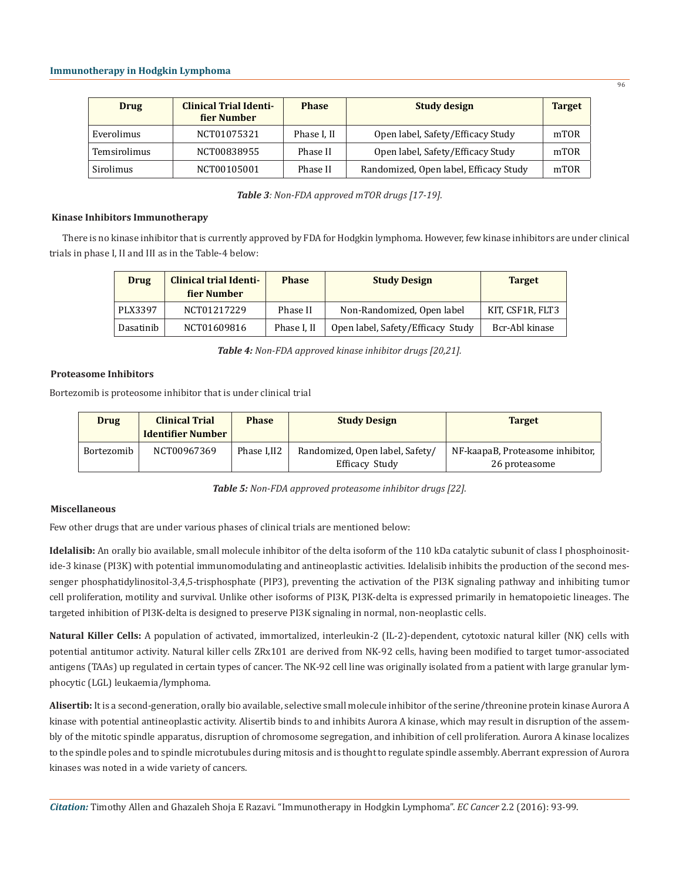| <b>Drug</b>  | <b>Clinical Trial Identi-</b><br>fier Number | <b>Phase</b> | <b>Study design</b>                    | <b>Target</b> |
|--------------|----------------------------------------------|--------------|----------------------------------------|---------------|
| Everolimus   | NCT01075321                                  | Phase I, II  | Open label, Safety/Efficacy Study      | mTOR          |
| Temsirolimus | NCT00838955                                  | Phase II     | Open label, Safety/Efficacy Study      | mTOR          |
| Sirolimus    | NCT00105001                                  | Phase II     | Randomized, Open label, Efficacy Study | mTOR          |

*Table 3: Non-FDA approved mTOR drugs [17-19].*

#### **Kinase Inhibitors Immunotherapy**

There is no kinase inhibitor that is currently approved by FDA for Hodgkin lymphoma. However, few kinase inhibitors are under clinical trials in phase I, II and III as in the Table-4 below:

| <b>Drug</b> | <b>Clinical trial Identi-</b><br>fier Number | <b>Phase</b> | <b>Study Design</b>               | <b>Target</b>    |
|-------------|----------------------------------------------|--------------|-----------------------------------|------------------|
| PLX3397     | NCT01217229                                  | Phase II     | Non-Randomized, Open label        | KIT, CSF1R, FLT3 |
| Dasatinib   | NCT01609816                                  | Phase I. II  | Open label, Safety/Efficacy Study | Bcr-Abl kinase   |

*Table 4: Non-FDA approved kinase inhibitor drugs [20,21].*

# **Proteasome Inhibitors**

Bortezomib is proteosome inhibitor that is under clinical trial

| <b>Drug</b> | <b>Clinical Trial</b><br><b>Identifier Number</b> | <b>Phase</b> | <b>Study Design</b>                               | <b>Target</b>                                     |
|-------------|---------------------------------------------------|--------------|---------------------------------------------------|---------------------------------------------------|
| Bortezomib  | NCT00967369                                       | Phase I.II2  | Randomized, Open label, Safety/<br>Efficacy Study | NF-kaapaB, Proteasome inhibitor,<br>26 proteasome |

*Table 5: Non-FDA approved proteasome inhibitor drugs [22].*

# **Miscellaneous**

Few other drugs that are under various phases of clinical trials are mentioned below:

**Idelalisib:** An orally bio available, small molecule inhibitor of the delta isoform of the 110 kDa catalytic subunit of class I phosphoinositide-3 kinase (PI3K) with potential immunomodulating and antineoplastic activities. Idelalisib inhibits the production of the second messenger phosphatidylinositol-3,4,5-trisphosphate (PIP3), preventing the activation of the PI3K signaling pathway and inhibiting tumor cell proliferation, motility and survival. Unlike other isoforms of PI3K, PI3K-delta is expressed primarily in hematopoietic lineages. The targeted inhibition of PI3K-delta is designed to preserve PI3K signaling in normal, non-neoplastic cells.

**Natural Killer Cells:** A population of activated, immortalized, interleukin-2 (IL-2)-dependent, cytotoxic natural killer (NK) cells with potential antitumor activity. Natural killer cells ZRx101 are derived from NK-92 cells, having been modified to target tumor-associated antigens (TAAs) up regulated in certain types of cancer. The NK-92 cell line was originally isolated from a patient with large granular lymphocytic (LGL) leukaemia/lymphoma.

**Alisertib:** It is a second-generation, orally bio available, selective small molecule inhibitor of the serine/threonine protein kinase Aurora A kinase with potential antineoplastic activity. Alisertib binds to and inhibits Aurora A kinase, which may result in disruption of the assembly of the mitotic spindle apparatus, disruption of chromosome segregation, and inhibition of cell proliferation. Aurora A kinase localizes to the spindle poles and to spindle microtubules during mitosis and is thought to regulate spindle assembly. Aberrant expression of Aurora kinases was noted in a wide variety of cancers.

*Citation:* Timothy Allen and Ghazaleh Shoja E Razavi. "Immunotherapy in Hodgkin Lymphoma". *EC Cancer* 2.2 (2016): 93-99.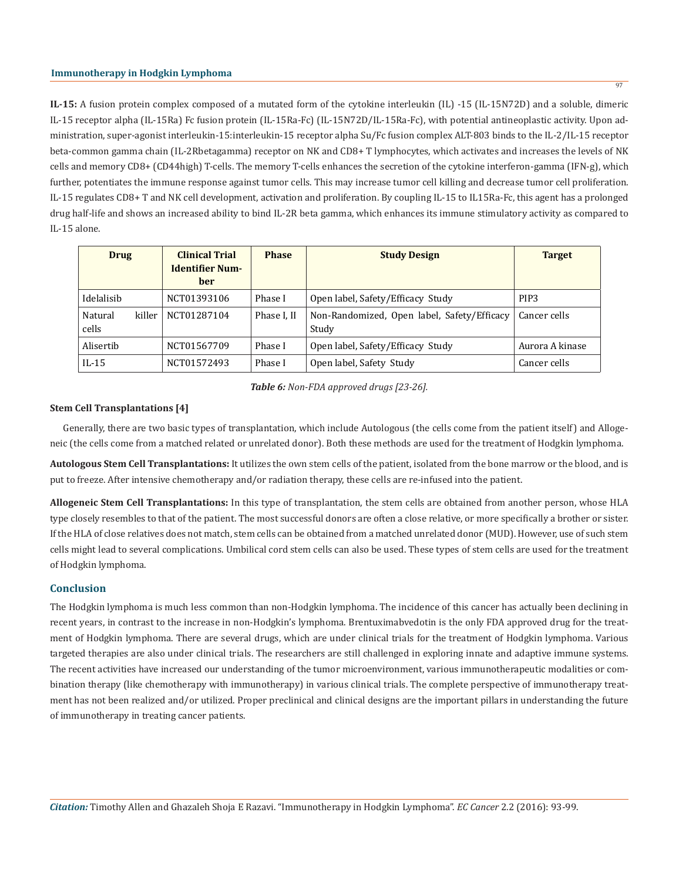**IL-15:** A fusion protein complex composed of a mutated form of the cytokine interleukin (IL) -15 (IL-15N72D) and a soluble, dimeric IL-15 receptor alpha (IL-15Ra) Fc fusion protein (IL-15Ra-Fc) (IL-15N72D/IL-15Ra-Fc), with potential antineoplastic activity. Upon administration, super-agonist interleukin-15:interleukin-15 receptor alpha Su/Fc fusion complex ALT-803 binds to the IL-2/IL-15 receptor beta-common gamma chain (IL-2Rbetagamma) receptor on NK and CD8+ T lymphocytes, which activates and increases the levels of NK cells and memory CD8+ (CD44high) T-cells. The memory T-cells enhances the secretion of the cytokine interferon-gamma (IFN-g), which further, potentiates the immune response against tumor cells. This may increase tumor cell killing and decrease tumor cell proliferation. IL-15 regulates CD8+ T and NK cell development, activation and proliferation. By coupling IL-15 to IL15Ra-Fc, this agent has a prolonged drug half-life and shows an increased ability to bind IL-2R beta gamma, which enhances its immune stimulatory activity as compared to IL-15 alone.

| <b>Drug</b>                | <b>Clinical Trial</b><br><b>Identifier Num-</b><br><b>ber</b> | <b>Phase</b> | <b>Study Design</b>                                  | <b>Target</b>    |
|----------------------------|---------------------------------------------------------------|--------------|------------------------------------------------------|------------------|
| Idelalisib                 | NCT01393106                                                   | Phase I      | Open label, Safety/Efficacy Study                    | PIP <sub>3</sub> |
| killer<br>Natural<br>cells | NCT01287104                                                   | Phase I, II  | Non-Randomized, Open label, Safety/Efficacy<br>Study | Cancer cells     |
| Alisertib                  | NCT01567709                                                   | Phase I      | Open label, Safety/Efficacy Study                    | Aurora A kinase  |
| $IL-15$                    | NCT01572493                                                   | Phase I      | Open label, Safety Study                             | Cancer cells     |

*Table 6: Non-FDA approved drugs [23-26].*

### **Stem Cell Transplantations [4]**

Generally, there are two basic types of transplantation, which include Autologous (the cells come from the patient itself) and Allogeneic (the cells come from a matched related or unrelated donor). Both these methods are used for the treatment of Hodgkin lymphoma.

**Autologous Stem Cell Transplantations:** It utilizes the own stem cells of the patient, isolated from the bone marrow or the blood, and is put to freeze. After intensive chemotherapy and/or radiation therapy, these cells are re-infused into the patient.

**Allogeneic Stem Cell Transplantations:** In this type of transplantation, the stem cells are obtained from another person, whose HLA type closely resembles to that of the patient. The most successful donors are often a close relative, or more specifically a brother or sister. If the HLA of close relatives does not match, stem cells can be obtained from a matched unrelated donor (MUD). However, use of such stem cells might lead to several complications. Umbilical cord stem cells can also be used. These types of stem cells are used for the treatment of Hodgkin lymphoma.

# **Conclusion**

The Hodgkin lymphoma is much less common than non-Hodgkin lymphoma. The incidence of this cancer has actually been declining in recent years, in contrast to the increase in non-Hodgkin's lymphoma. Brentuximabvedotin is the only FDA approved drug for the treatment of Hodgkin lymphoma. There are several drugs, which are under clinical trials for the treatment of Hodgkin lymphoma. Various targeted therapies are also under clinical trials. The researchers are still challenged in exploring innate and adaptive immune systems. The recent activities have increased our understanding of the tumor microenvironment, various immunotherapeutic modalities or combination therapy (like chemotherapy with immunotherapy) in various clinical trials. The complete perspective of immunotherapy treatment has not been realized and/or utilized. Proper preclinical and clinical designs are the important pillars in understanding the future of immunotherapy in treating cancer patients.

97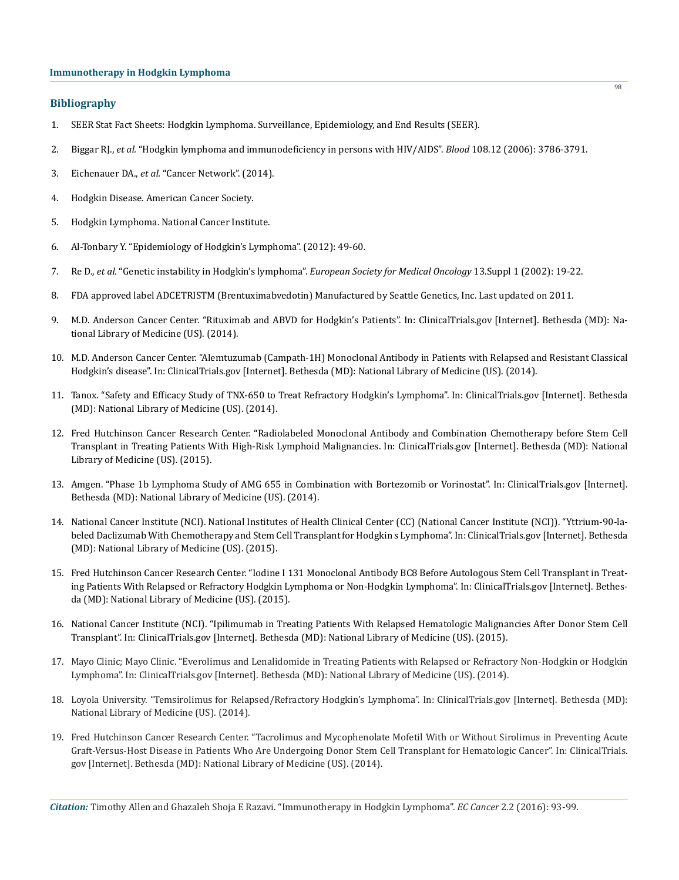# **Bibliography**

- 1. SEER Stat Fact Sheets: Hodgkin Lymphoma. Surveillance, Epidemiology, and End Results (SEER).
- 2. Biggar RJ., *et al.* ["Hodgkin lymphoma and immunodeficiency in persons with HIV/AIDS".](http://www.ncbi.nlm.nih.gov/pubmed/16917006) *Blood* 108.12 (2006): 3786-3791.
- 3. Eichenauer DA., *et al.* ["Cancer Network". \(2014\).](http://www.cancernetwork.com/cancer-management/hodgkin-lymphoma.)
- 4. [Hodgkin Disease. American Cancer Society.](file:///C:/Users/ECRONICON3/Desktop/ECCA-16-RW-023_W/1.%09http:/www.cancer.org/acs/groups/cid/documents/webcontent/003105-pdf.pdf.)
- 5. [Hodgkin Lymphoma. National Cancer Institute.](http://www.cancer.gov/cancertopics/types/hodgkin.)
- 6. [Al-Tonbary Y. "Epidemiology of Hodgkin's Lymphoma". \(2012\): 49-60.](http://cdn.intechopen.com/pdfs-wm/33671.pdf.)
- 7. Re D., *et al.* "Genetic instability in Hodgkin's lymphoma". *European Society for Medical Oncology* 13.Suppl 1 (2002): 19-22.
- 8. FDA approved label ADCETRISTM (Brentuximabvedotin) Manufactured by Seattle Genetics, Inc. Last updated on 2011.
- 9. M.D. Anderson Cancer Center. "Rituximab and ABVD for Hodgkin's Patients". In: ClinicalTrials.gov [Internet]. Bethesda (MD): National Library of Medicine (US). (2014).
- 10. M.D. Anderson Cancer Center. "Alemtuzumab (Campath-1H) Monoclonal Antibody in Patients with Relapsed and Resistant Classical Hodgkin's disease". In: ClinicalTrials.gov [Internet]. Bethesda (MD): National Library of Medicine (US). (2014).
- 11. Tanox. "Safety and Efficacy Study of TNX-650 to Treat Refractory Hodgkin's Lymphoma". In: ClinicalTrials.gov [Internet]. Bethesda (MD): National Library of Medicine (US). (2014).
- 12. Fred Hutchinson Cancer Research Center. "Radiolabeled Monoclonal Antibody and Combination Chemotherapy before Stem Cell Transplant in Treating Patients With High-Risk Lymphoid Malignancies. In: ClinicalTrials.gov [Internet]. Bethesda (MD): National Library of Medicine (US). (2015).
- 13. Amgen. "Phase 1b Lymphoma Study of AMG 655 in Combination with Bortezomib or Vorinostat". In: ClinicalTrials.gov [Internet]. Bethesda (MD): National Library of Medicine (US). (2014).
- 14. National Cancer Institute (NCI). National Institutes of Health Clinical Center (CC) (National Cancer Institute (NCI)). "Yttrium-90-labeled Daclizumab With Chemotherapy and Stem Cell Transplant for Hodgkin s Lymphoma". In: ClinicalTrials.gov [Internet]. Bethesda (MD): National Library of Medicine (US). (2015).
- 15. Fred Hutchinson Cancer Research Center. "Iodine I 131 Monoclonal Antibody BC8 Before Autologous Stem Cell Transplant in Treating Patients With Relapsed or Refractory Hodgkin Lymphoma or Non-Hodgkin Lymphoma". In: ClinicalTrials.gov [Internet]. Bethesda (MD): National Library of Medicine (US). (2015).
- 16. National Cancer Institute (NCI). "Ipilimumab in Treating Patients With Relapsed Hematologic Malignancies After Donor Stem Cell Transplant". In: ClinicalTrials.gov [Internet]. Bethesda (MD): National Library of Medicine (US). (2015).
- 17. Mayo Clinic; Mayo Clinic. "Everolimus and Lenalidomide in Treating Patients with Relapsed or Refractory Non-Hodgkin or Hodgkin Lymphoma". In: ClinicalTrials.gov [Internet]. Bethesda (MD): National Library of Medicine (US). (2014).
- 18. Loyola University. "Temsirolimus for Relapsed/Refractory Hodgkin's Lymphoma". In: ClinicalTrials.gov [Internet]. Bethesda (MD): National Library of Medicine (US). (2014).
- 19. Fred Hutchinson Cancer Research Center. "Tacrolimus and Mycophenolate Mofetil With or Without Sirolimus in Preventing Acute Graft-Versus-Host Disease in Patients Who Are Undergoing Donor Stem Cell Transplant for Hematologic Cancer". In: ClinicalTrials. gov [Internet]. Bethesda (MD): National Library of Medicine (US). (2014).